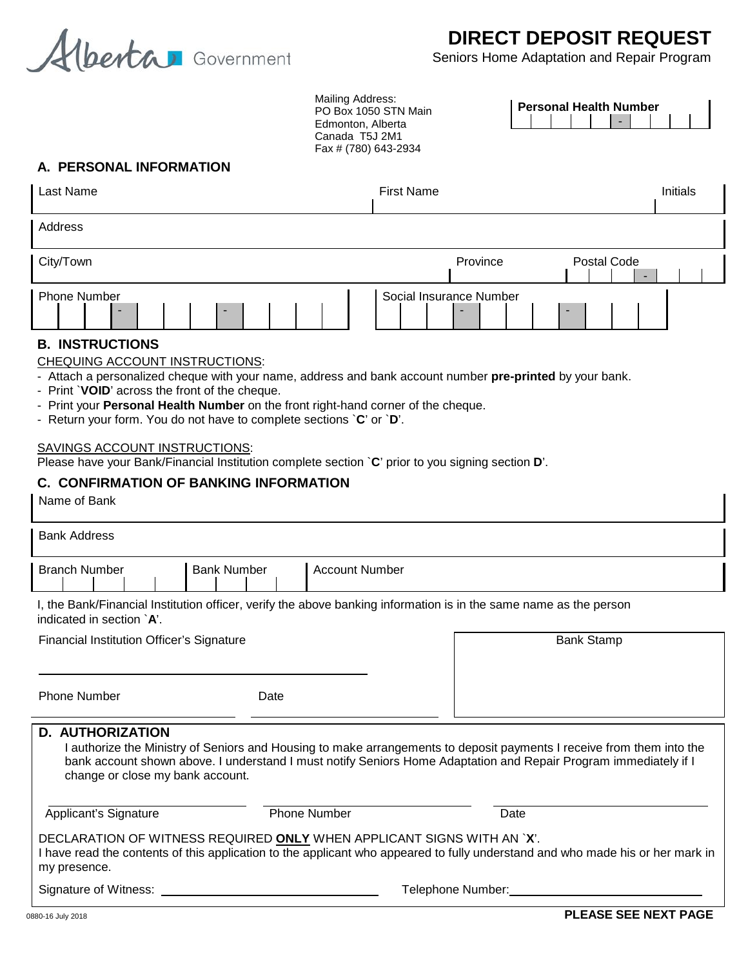

# **DIRECT DEPOSIT REQUEST**

Seniors Home Adaptation and Repair Program

**Personal Health Number**

-

Mailing Address: PO Box 1050 STN Main Edmonton, Alberta Canada T5J 2M1 Fax # (780) 643-2934

## **A. PERSONAL INFORMATION**

| Last Name                     | <b>First Name</b>                                        | <b>Initials</b>  |
|-------------------------------|----------------------------------------------------------|------------------|
| Address                       |                                                          |                  |
| City/Town                     | Province                                                 | Postal Code<br>- |
| <b>Phone Number</b><br>-<br>- | Social Insurance Number<br>$\overline{\phantom{a}}$<br>- |                  |

### **B. INSTRUCTIONS**

CHEQUING ACCOUNT INSTRUCTIONS:

- Attach a personalized cheque with your name, address and bank account number **pre-printed** by your bank.

- Print `**VOID**' across the front of the cheque.
- Print your **Personal Health Number** on the front right-hand corner of the cheque.
- Return your form. You do not have to complete sections `**C**' or `**D**'.

#### SAVINGS ACCOUNT INSTRUCTIONS:

Please have your Bank/Financial Institution complete section `**C**' prior to you signing section **D**'.

## **C. CONFIRMATION OF BANKING INFORMATION**

Name of Bank

| <b>Bank Address</b>                                                                                                                                                                                                                                                                                      |                    |                       |      |  |
|----------------------------------------------------------------------------------------------------------------------------------------------------------------------------------------------------------------------------------------------------------------------------------------------------------|--------------------|-----------------------|------|--|
| <b>Branch Number</b>                                                                                                                                                                                                                                                                                     | <b>Bank Number</b> | <b>Account Number</b> |      |  |
| I, the Bank/Financial Institution officer, verify the above banking information is in the same name as the person<br>indicated in section `A'.                                                                                                                                                           |                    |                       |      |  |
| <b>Financial Institution Officer's Signature</b>                                                                                                                                                                                                                                                         |                    | <b>Bank Stamp</b>     |      |  |
| <b>Phone Number</b>                                                                                                                                                                                                                                                                                      | Date               |                       |      |  |
| <b>D. AUTHORIZATION</b><br>I authorize the Ministry of Seniors and Housing to make arrangements to deposit payments I receive from them into the<br>bank account shown above. I understand I must notify Seniors Home Adaptation and Repair Program immediately if I<br>change or close my bank account. |                    |                       |      |  |
| Applicant's Signature                                                                                                                                                                                                                                                                                    |                    | <b>Phone Number</b>   | Date |  |
| DECLARATION OF WITNESS REQUIRED ONLY WHEN APPLICANT SIGNS WITH AN `X'.<br>I have read the contents of this application to the applicant who appeared to fully understand and who made his or her mark in<br>my presence.                                                                                 |                    |                       |      |  |
| Signature of Witness:                                                                                                                                                                                                                                                                                    |                    | Telephone Number:     |      |  |